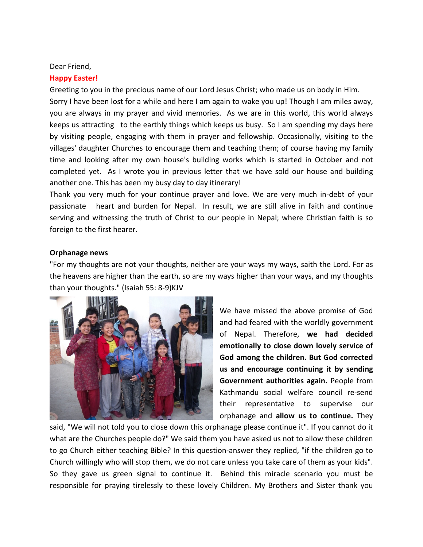#### Dear Friend,

# **Happy Easter!**

Greeting to you in the precious name of our Lord Jesus Christ; who made us on body in Him. Sorry I have been lost for a while and here I am again to wake you up! Though I am miles away, you are always in my prayer and vivid memories. As we are in this world, this world always keeps us attracting to the earthly things which keeps us busy. So I am spending my days here by visiting people, engaging with them in prayer and fellowship. Occasionally, visiting to the villages' daughter Churches to encourage them and teaching them; of course having my family time and looking after my own house's building works which is started in October and not completed yet. As I wrote you in previous letter that we have sold our house and building another one. This has been my busy day to day itinerary!

Thank you very much for your continue prayer and love. We are very much in-debt of your passionate heart and burden for Nepal. In result, we are still alive in faith and continue serving and witnessing the truth of Christ to our people in Nepal; where Christian faith is so foreign to the first hearer.

# **Orphanage news**

"For my thoughts are not your thoughts, neither are your ways my ways, saith the Lord. For as the heavens are higher than the earth, so are my ways higher than your ways, and my thoughts than your thoughts." (Isaiah 55: 8-9)KJV



We have missed the above promise of God and had feared with the worldly government of Nepal. Therefore, **we had decided emotionally to close down lovely service of God among the children. But God corrected us and encourage continuing it by sending Government authorities again.** People from Kathmandu social welfare council re-send their representative to supervise our orphanage and **allow us to continue.** They

said, "We will not told you to close down this orphanage please continue it". If you cannot do it what are the Churches people do?" We said them you have asked us not to allow these children to go Church either teaching Bible? In this question-answer they replied, "if the children go to Church willingly who will stop them, we do not care unless you take care of them as your kids". So they gave us green signal to continue it. Behind this miracle scenario you must be responsible for praying tirelessly to these lovely Children. My Brothers and Sister thank you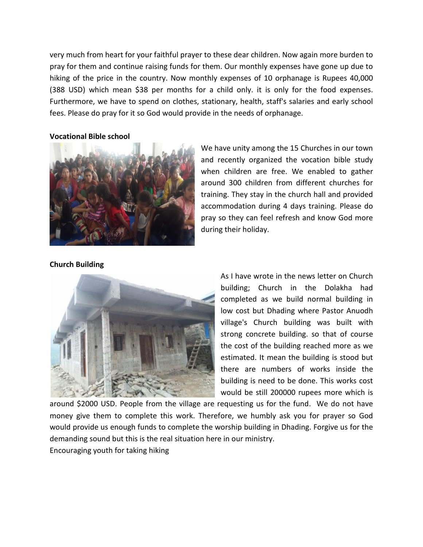very much from heart for your faithful prayer to these dear children. Now again more burden to pray for them and continue raising funds for them. Our monthly expenses have gone up due to hiking of the price in the country. Now monthly expenses of 10 orphanage is Rupees 40,000 (388 USD) which mean \$38 per months for a child only. it is only for the food expenses. Furthermore, we have to spend on clothes, stationary, health, staff's salaries and early school fees. Please do pray for it so God would provide in the needs of orphanage.

#### **Vocational Bible school**



We have unity among the 15 Churches in our town and recently organized the vocation bible study when children are free. We enabled to gather around 300 children from different churches for training. They stay in the church hall and provided accommodation during 4 days training. Please do pray so they can feel refresh and know God more during their holiday.

# **Church Building**



As I have wrote in the news letter on Church building; Church in the Dolakha had completed as we build normal building in low cost but Dhading where Pastor Anuodh village's Church building was built with strong concrete building. so that of course the cost of the building reached more as we estimated. It mean the building is stood but there are numbers of works inside the building is need to be done. This works cost would be still 200000 rupees more which is

around \$2000 USD. People from the village are requesting us for the fund. We do not have money give them to complete this work. Therefore, we humbly ask you for prayer so God would provide us enough funds to complete the worship building in Dhading. Forgive us for the demanding sound but this is the real situation here in our ministry.

Encouraging youth for taking hiking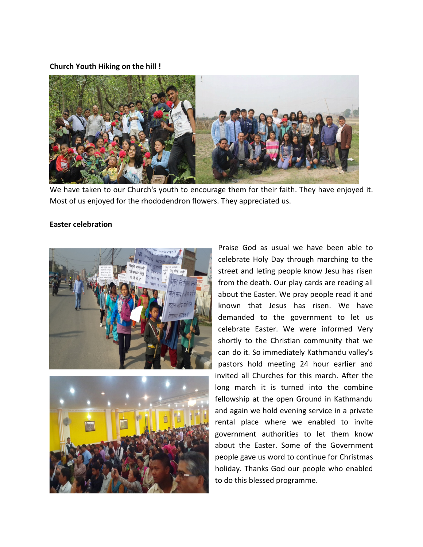# **Church Youth Hiking on the hill !**



We have taken to our Church's youth to encourage them for their faith. They have enjoyed it. Most of us enjoyed for the rhododendron flowers. They appreciated us.

# **Easter celebration**





Praise God as usual we have been able to celebrate Holy Day through marching to the street and leting people know Jesu has risen from the death. Our play cards are reading all about the Easter. We pray people read it and known that Jesus has risen. We have demanded to the government to let us celebrate Easter. We were informed Very shortly to the Christian community that we can do it. So immediately Kathmandu valley's pastors hold meeting 24 hour earlier and invited all Churches for this march. After the long march it is turned into the combine fellowship at the open Ground in Kathmandu and again we hold evening service in a private rental place where we enabled to invite government authorities to let them know about the Easter. Some of the Government people gave us word to continue for Christmas holiday. Thanks God our people who enabled to do this blessed programme.